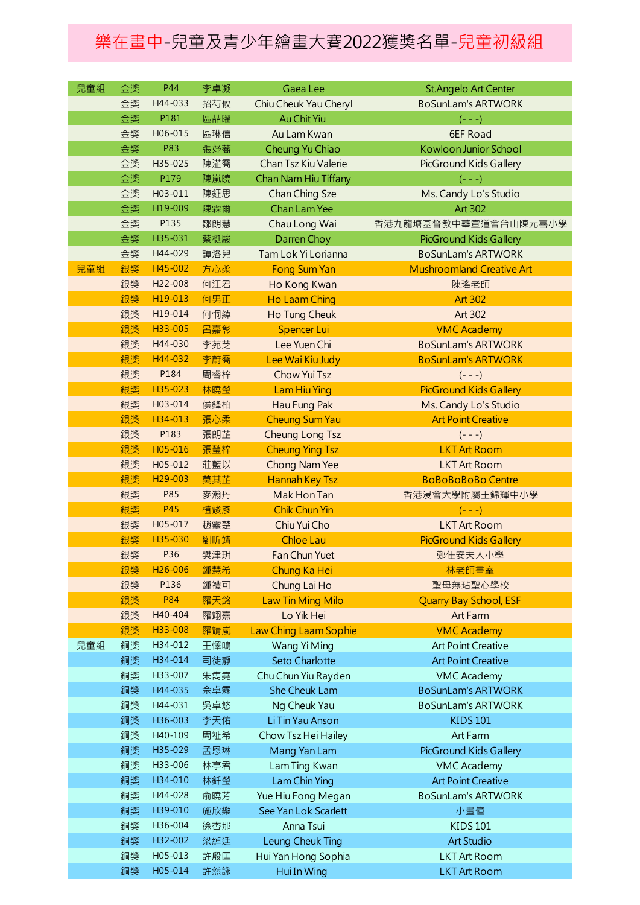## 樂在畫中-兒童及青少年繪畫大賽2022獲獎名單-兒童初級組

| 兒童組 | 金獎 | P44                  | 李卓凝 | Gaea Lee                 | <b>St.Angelo Art Center</b>      |
|-----|----|----------------------|-----|--------------------------|----------------------------------|
|     | 金獎 | H44-033              | 招芍攸 | Chiu Cheuk Yau Cheryl    | <b>BoSunLam's ARTWORK</b>        |
|     | 金獎 | P181                 | 區喆曜 | Au Chit Yiu              | $(- - -)$                        |
|     | 金獎 | H06-015              | 區琳信 | Au Lam Kwan              | 6EF Road                         |
|     | 金獎 | <b>P83</b>           | 張妤蕎 | Cheung Yu Chiao          | Kowloon Junior School            |
|     | 金獎 | H35-025              | 陳淽喬 | Chan Tsz Kiu Valerie     | PicGround Kids Gallery           |
|     | 金獎 | P179                 | 陳嵐曉 | Chan Nam Hiu Tiffany     | $(- - -)$                        |
|     | 金獎 | H03-011              | 陳鉦思 | Chan Ching Sze           | Ms. Candy Lo's Studio            |
|     | 金獎 | H19-009              | 陳霖爾 | <b>Chan Lam Yee</b>      | Art 302                          |
|     | 金獎 | P135                 | 鄒朗慧 | Chau Long Wai            | 香港九龍塘基督教中華宣道會台山陳元喜小學             |
|     | 金獎 | H35-031              | 蔡梃駿 | Darren Choy              | PicGround Kids Gallery           |
|     | 金獎 | H44-029              | 譚洛兒 | Tam Lok Yi Lorianna      | <b>BoSunLam's ARTWORK</b>        |
| 兒童組 | 銀獎 | H45-002              | 方心柔 | <b>Fong Sum Yan</b>      | <b>Mushroomland Creative Art</b> |
|     | 銀獎 | H22-008              | 何江君 | Ho Kong Kwan             | 陳瑤老師                             |
|     | 銀獎 | H19-013              | 何男正 | Ho Laam Ching            | <b>Art 302</b>                   |
|     | 銀獎 | H19-014              | 何恫綽 | Ho Tung Cheuk            | Art 302                          |
|     | 銀獎 | H33-005              | 呂嘉彰 | Spencer Lui              | <b>VMC Academy</b>               |
|     | 銀獎 | H44-030              | 李苑芝 | Lee Yuen Chi             | <b>BoSunLam's ARTWORK</b>        |
|     | 銀獎 | H44-032              | 李蔚喬 | Lee Wai Kiu Judy         | <b>BoSunLam's ARTWORK</b>        |
|     | 銀獎 | P184                 | 周睿梓 | Chow Yui Tsz             | $(- - -)$                        |
|     | 銀獎 | H35-023              | 林曉瑩 | <b>Lam Hiu Ying</b>      | <b>PicGround Kids Gallery</b>    |
|     | 銀獎 | H03-014              | 侯鋒柏 | Hau Fung Pak             | Ms. Candy Lo's Studio            |
|     | 銀獎 | H34-013              | 張心柔 | <b>Cheung Sum Yau</b>    | <b>Art Point Creative</b>        |
|     | 銀獎 | P183                 | 張朗芷 | Cheung Long Tsz          | $(- - -)$                        |
|     | 銀獎 | H05-016              | 張瑩梓 | <b>Cheung Ying Tsz</b>   | <b>LKT Art Room</b>              |
|     | 銀獎 | H05-012              | 莊藍以 | Chong Nam Yee            | <b>LKT Art Room</b>              |
|     | 銀獎 | H <sub>29</sub> -003 | 莫其芷 | <b>Hannah Key Tsz</b>    | <b>BoBoBoBoBo Centre</b>         |
|     | 銀獎 | P85                  | 麥瀚丹 | Mak Hon Tan              | 香港浸會大學附屬王錦輝中小學                   |
|     | 銀獎 | P45                  | 植竣彥 | <b>Chik Chun Yin</b>     | $(- - -)$                        |
|     | 銀獎 | H05-017              | 趙靈楚 | Chiu Yui Cho             | <b>LKT Art Room</b>              |
|     | 銀獎 | H35-030              | 劉昕靖 | <b>Chloe Lau</b>         | <b>PicGround Kids Gallery</b>    |
|     | 銀獎 | P36                  | 樊津玥 | Fan Chun Yuet            | 鄭任安夫人小學                          |
|     | 銀獎 | H <sub>26</sub> -006 | 鍾慧希 | Chung Ka Hei             | 林老師畫室                            |
|     | 銀獎 | P136                 | 鍾禮可 | Chung Lai Ho             | 聖母無玷聖心學校                         |
|     | 銀獎 | <b>P84</b>           | 羅天銘 | <b>Law Tin Ming Milo</b> | <b>Quarry Bay School, ESF</b>    |
|     | 銀獎 | H40-404              | 羅翊熹 | Lo Yik Hei               | Art Farm                         |
|     | 銀獎 | H33-008              | 羅靖嵐 | Law Ching Laam Sophie    | <b>VMC Academy</b>               |
| 兒童組 | 銅獎 | H34-012              | 王懌鳴 | Wang Yi Ming             | <b>Art Point Creative</b>        |
|     | 銅獎 | H34-014              | 司徒靜 | Seto Charlotte           | <b>Art Point Creative</b>        |
|     | 銅獎 | H33-007              | 朱雋堯 | Chu Chun Yiu Rayden      | <b>VMC Academy</b>               |
|     | 銅獎 | H44-035              | 佘卓霖 | She Cheuk Lam            | <b>BoSunLam's ARTWORK</b>        |
|     | 銅獎 | H44-031              | 吳卓悠 | Ng Cheuk Yau             | <b>BoSunLam's ARTWORK</b>        |
|     | 銅獎 | H36-003              | 李天佑 | Li Tin Yau Anson         | <b>KIDS 101</b>                  |
|     | 銅獎 | H40-109              | 周祉希 | Chow Tsz Hei Hailey      | Art Farm                         |
|     | 銅獎 | H35-029              | 孟恩琳 | Mang Yan Lam             | PicGround Kids Gallery           |
|     | 銅獎 | H33-006              | 林亭君 | Lam Ting Kwan            | <b>VMC Academy</b>               |
|     | 銅獎 | H34-010              | 林釺瑩 | Lam Chin Ying            | <b>Art Point Creative</b>        |
|     | 銅獎 | H44-028              | 俞曉芳 | Yue Hiu Fong Megan       | <b>BoSunLam's ARTWORK</b>        |
|     | 銅獎 | H39-010              | 施欣樂 | See Yan Lok Scarlett     | 小畫僮                              |
|     | 銅獎 | H36-004              | 徐杏那 | Anna Tsui                | <b>KIDS 101</b>                  |
|     | 銅獎 | H32-002              | 梁綽廷 | Leung Cheuk Ting         | <b>Art Studio</b>                |
|     | 銅獎 | H05-013              | 許殷匡 | Hui Yan Hong Sophia      | <b>LKT Art Room</b>              |
|     | 銅獎 | H05-014              | 許然詠 | Hui In Wing              | <b>LKT Art Room</b>              |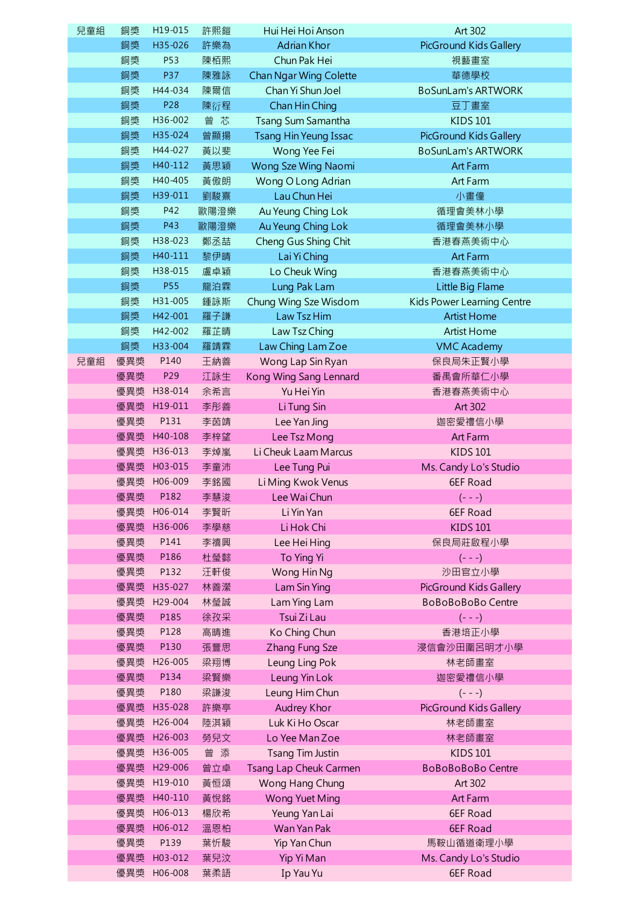| 兒童組 | 銅獎  | H19-015                | 許熙鎧        | Hui Hei Hoi Anson                  | Art 302                           |
|-----|-----|------------------------|------------|------------------------------------|-----------------------------------|
|     | 銅獎  | H35-026                | 許樂為        | <b>Adrian Khor</b>                 | PicGround Kids Gallery            |
|     | 銅獎  | P53                    | 陳栢熙        | Chun Pak Hei                       | 視藝畫室                              |
|     | 銅獎  | P37                    | 陳雅詠        | Chan Ngar Wing Colette             | 華德學校                              |
|     | 銅獎  | H44-034                | 陳爾信        | Chan Yi Shun Joel                  | <b>BoSunLam's ARTWORK</b>         |
|     | 銅獎  | P28                    | 陳衍程        | Chan Hin Ching                     | 豆丁畫室                              |
|     | 銅獎  | H36-002                | 曾芯         | Tsang Sum Samantha                 | <b>KIDS 101</b>                   |
|     | 銅獎  | H35-024                | 曾顯揚        | <b>Tsang Hin Yeung Issac</b>       | PicGround Kids Gallery            |
|     | 銅獎  | H44-027                | 黃以斐        | Wong Yee Fei                       | <b>BoSunLam's ARTWORK</b>         |
|     | 銅獎  | H40-112                | 黃思穎        | Wong Sze Wing Naomi                | Art Farm                          |
|     | 銅獎  | H40-405                | 黃傲朗        | Wong O Long Adrian                 | Art Farm                          |
|     | 銅獎  | H39-011                | 劉駿熹        | Lau Chun Hei                       | 小畫僮                               |
|     | 銅獎  | P42                    | 歐陽澄樂       | Au Yeung Ching Lok                 | 循理會美林小學                           |
|     | 銅獎  | P43                    | 歐陽澄樂       | Au Yeung Ching Lok                 | 循理會美林小學                           |
|     | 銅獎  | H38-023                | 鄭丞喆        | Cheng Gus Shing Chit               | 香港春燕美術中心                          |
|     | 銅獎  | H40-111                | 黎伊晴        | Lai Yi Ching                       | Art Farm                          |
|     | 銅獎  | H38-015                | 盧卓穎        | Lo Cheuk Wing                      | 香港春燕美術中心                          |
|     | 銅獎  | <b>P55</b>             | 龍泊霖        | Lung Pak Lam                       | Little Big Flame                  |
|     | 銅獎  | H31-005                | 鍾詠斯        | Chung Wing Sze Wisdom              | Kids Power Learning Centre        |
|     | 銅獎  | H42-001                | 羅子謙        | Law Tsz Him                        | <b>Artist Home</b>                |
|     | 銅獎  | H42-002                | 羅芷晴        | Law Tsz Ching                      | <b>Artist Home</b>                |
|     | 銅獎  | H33-004                | 羅靖霖        | Law Ching Lam Zoe                  | <b>VMC Academy</b>                |
| 兒童組 | 優異獎 | P140                   | 王納善        | Wong Lap Sin Ryan                  | 保良局朱正賢小學                          |
|     | 優異獎 | P29                    | 江詠生        | Kong Wing Sang Lennard             | 番禺會所華仁小學                          |
|     |     | 優異獎 H38-014            | 余希言        | Yu Hei Yin                         | 香港春燕美術中心                          |
|     | 優異獎 | H19-011                | 李彤善        | Li Tung Sin                        | Art 302                           |
|     | 優異獎 | P131                   | 李茵靖        | Lee Yan Jing                       | 迦密愛禮信小學                           |
|     |     | 優異獎 H40-108            | 李梓望        | Lee Tsz Mong                       | Art Farm                          |
|     | 優異獎 | H36-013                | 李焯嵐        | Li Cheuk Laam Marcus               | <b>KIDS 101</b>                   |
|     | 優異獎 | H03-015<br>優異獎 H06-009 | 李童沛        | Lee Tung Pui                       | Ms. Candy Lo's Studio<br>6EF Road |
|     | 優異獎 | P182                   | 李銘國<br>李慧浚 | Li Ming Kwok Venus<br>Lee Wai Chun | $(- - -)$                         |
|     | 優異獎 | H06-014                | 李賢昕        | Li Yin Yan                         | 6EF Road                          |
|     | 優異獎 | H36-006                | 李學慈        | Li Hok Chi                         | <b>KIDS 101</b>                   |
|     | 優異獎 | P141                   | 李禧興        | Lee Hei Hing                       | 保良局莊啟程小學                          |
|     | 優異獎 | P186                   | 杜瑩懿        | To Ying Yi                         | $(- - -)$                         |
|     | 優異獎 | P132                   | 汪軒俊        | Wong Hin Ng                        | 沙田官立小學                            |
|     | 優異獎 | H35-027                | 林善瀠        | Lam Sin Ying                       | PicGround Kids Gallery            |
|     | 優異獎 | H29-004                | 林瑩誠        | Lam Ying Lam                       | <b>BoBoBoBoBo Centre</b>          |
|     | 優異獎 | P185                   | 徐孜采        | Tsui Zi Lau                        | $(- - -)$                         |
|     | 優異獎 | P128                   | 高晴進        | Ko Ching Chun                      | 香港培正小學                            |
|     | 優異獎 | P130                   | 張豐思        | Zhang Fung Sze                     | 浸信會沙田圍呂明才小學                       |
|     |     | 優異獎 H26-005            | 梁翔博        | Leung Ling Pok                     | 林老師畫室                             |
|     | 優異獎 | P134                   | 梁賢樂        | Leung Yin Lok                      | 迦密愛禮信小學                           |
|     | 優異獎 | P180                   | 梁謙浚        | Leung Him Chun                     | $(- - -)$                         |
|     |     | 優異獎 H35-028            | 許樂亭        | Audrey Khor                        | PicGround Kids Gallery            |
|     | 優異獎 | H26-004                | 陸淇穎        | Luk Ki Ho Oscar                    | 林老師畫室                             |
|     | 優異獎 | H26-003                | 勞兒文        | Lo Yee Man Zoe                     | 林老師畫室                             |
|     |     | 優異獎 H36-005            | 曾添         | Tsang Tim Justin                   | <b>KIDS 101</b>                   |
|     | 優異獎 | H <sub>29</sub> -006   | 曾立卓        | Tsang Lap Cheuk Carmen             | <b>BoBoBoBoBo Centre</b>          |
|     | 優異獎 | H19-010                | 黃恒頌        | Wong Hang Chung                    | Art 302                           |
|     |     | 優異獎 H40-110            | 黃悅銘        | <b>Wong Yuet Ming</b>              | Art Farm                          |
|     | 優異獎 | H06-013                | 楊欣希        | Yeung Yan Lai                      | 6EF Road                          |
|     | 優異獎 | H06-012                | 溫恩柏        | Wan Yan Pak                        | 6EF Road                          |
|     | 優異獎 | P139                   | 葉忻駿        | Yip Yan Chun                       | 馬鞍山循道衛理小學                         |
|     | 優異獎 | H03-012                | 葉兒汶        | Yip Yi Man                         | Ms. Candy Lo's Studio             |
|     | 優異獎 | H06-008                | 葉柔語        | Ip Yau Yu                          | 6EF Road                          |